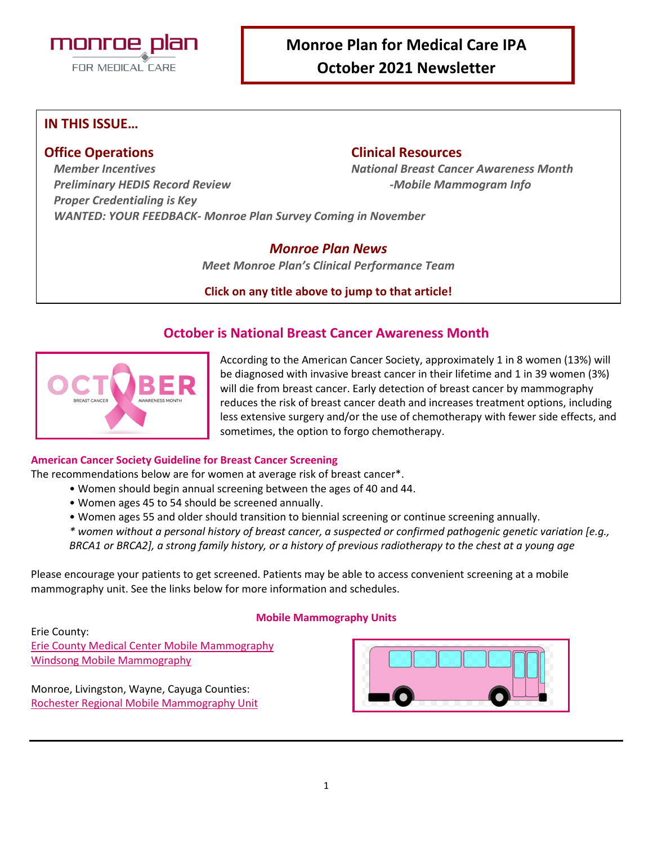

## **Monroe Plan for Medical Care IPA October 2021 Newsletter**

### **IN THIS ISSUE…**

### **Office Operations Clinical Resources**

*Member Incentives National Breast Cancer Awareness Month Preliminary HEDIS Record Review -Mobile Mammogram Info Proper Credentialing is Key WANTED: YOUR FEEDBACK- Monroe Plan Survey Coming in November*

#### *Monroe Plan News*

*Meet Monroe Plan's Clinical Performance Team*

#### **Click on any title above to jump to that article!**

### **October is National Breast Cancer Awareness Month**



According to the American Cancer Society, approximately 1 in 8 women (13%) will be diagnosed with invasive breast cancer in their lifetime and 1 in 39 women (3%) will die from breast cancer. Early detection of breast cancer by mammography reduces the risk of breast cancer death and increases treatment options, including less extensive surgery and/or the use of chemotherapy with fewer side effects, and sometimes, the option to forgo chemotherapy.

#### **American Cancer Society Guideline for Breast Cancer Screening**

The recommendations below are for women at average risk of breast cancer\*.

- Women should begin annual screening between the ages of 40 and 44.
	- Women ages 45 to 54 should be screened annually.
	- Women ages 55 and older should transition to biennial screening or continue screening annually.
	- *\* women without a personal history of breast cancer, a suspected or confirmed pathogenic genetic variation [e.g., BRCA1 or BRCA2], a strong family history, or a history of previous radiotherapy to the chest at a young age*

Please encourage your patients to get screened. Patients may be able to access convenient screening at a mobile mammography unit. See the links below for more information and schedules.

#### **Mobile Mammography Units**

Erie County: [Erie County Medical Center Mobile Mammography](https://www.ecmc.edu/health-services-and-doctors/cancer-care/breast-oncology/mobile-mammography-unit/) [Windsong Mobile Mammography](https://windsongwny.com/radiology/mobile-screening-mammography/)

Monroe, Livingston, Wayne, Cayuga Counties: [Rochester Regional Mobile Mammography Unit](https://pink.rochesterregional.org/calendar/)

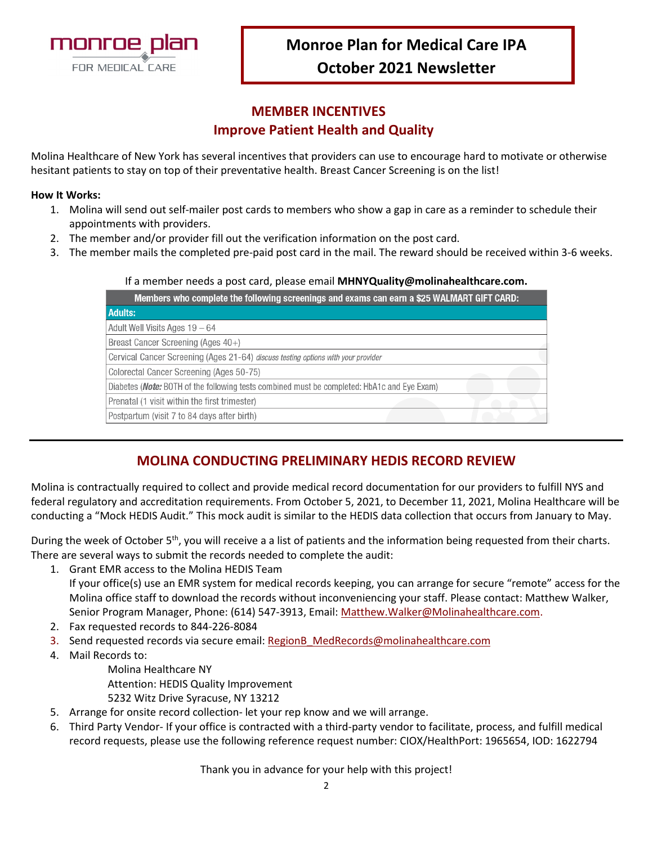

# **Monroe Plan for Medical Care IPA October 2021 Newsletter**

### **MEMBER INCENTIVES Improve Patient Health and Quality**

Molina Healthcare of New York has several incentives that providers can use to encourage hard to motivate or otherwise hesitant patients to stay on top of their preventative health. Breast Cancer Screening is on the list!

#### **How It Works:**

- 1. Molina will send out self-mailer post cards to members who show a gap in care as a reminder to schedule their appointments with providers.
- 2. The member and/or provider fill out the verification information on the post card.
- 3. The member mails the completed pre-paid post card in the mail. The reward should be received within 3-6 weeks.

#### If a member needs a post card, please email **MHNYQuality@molinahealthcare.com.**

| Members who complete the following screenings and exams can earn a \$25 WALMART GIFT CARD:  |  |
|---------------------------------------------------------------------------------------------|--|
| <b>Adults:</b>                                                                              |  |
| Adult Well Visits Ages 19 - 64                                                              |  |
| Breast Cancer Screening (Ages 40+)                                                          |  |
| Cervical Cancer Screening (Ages 21-64) discuss testing options with your provider           |  |
| Colorectal Cancer Screening (Ages 50-75)                                                    |  |
| Diabetes (Note: BOTH of the following tests combined must be completed: HbA1c and Eye Exam) |  |
| Prenatal (1 visit within the first trimester)                                               |  |
| Postpartum (visit 7 to 84 days after birth)                                                 |  |

### **MOLINA CONDUCTING PRELIMINARY HEDIS RECORD REVIEW**

Molina is contractually required to collect and provide medical record documentation for our providers to fulfill NYS and federal regulatory and accreditation requirements. From October 5, 2021, to December 11, 2021, Molina Healthcare will be conducting a "Mock HEDIS Audit." This mock audit is similar to the HEDIS data collection that occurs from January to May.

During the week of October 5<sup>th</sup>, you will receive a a list of patients and the information being requested from their charts. There are several ways to submit the records needed to complete the audit:

- 1. Grant EMR access to the Molina HEDIS Team If your office(s) use an EMR system for medical records keeping, you can arrange for secure "remote" access for the Molina office staff to download the records without inconveniencing your staff. Please contact: Matthew Walker, Senior Program Manager, Phone: (614) 547-3913, Email[: Matthew.Walker@Molinahealthcare.com.](mailto:Matthew.Walker@Molinahealthcare.com)
- 2. Fax requested records to 844-226-8084
- 3. Send requested records via secure email: [RegionB\\_MedRecords@molinahealthcare.com](mailto:RegionB_MedRecords@molinahealthcare.com)
- 4. Mail Records to:

Molina Healthcare NY Attention: HEDIS Quality Improvement 5232 Witz Drive Syracuse, NY 13212

- 5. Arrange for onsite record collection- let your rep know and we will arrange.
- 6. Third Party Vendor- If your office is contracted with a third-party vendor to facilitate, process, and fulfill medical record requests, please use the following reference request number: CIOX/HealthPort: 1965654, IOD: 1622794

Thank you in advance for your help with this project!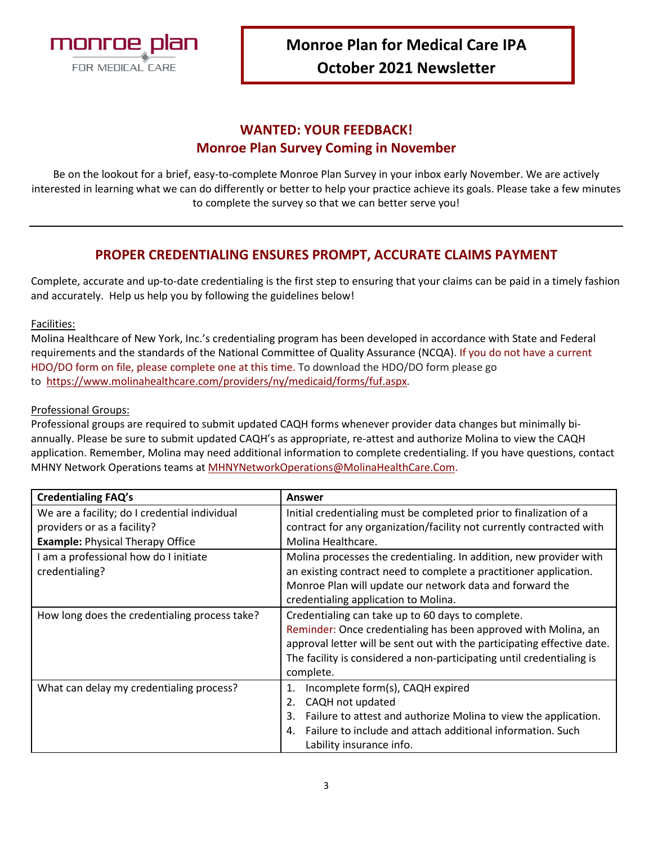

### **WANTED: YOUR FEEDBACK! Monroe Plan Survey Coming in November**

Be on the lookout for a brief, easy-to-complete Monroe Plan Survey in your inbox early November. We are actively interested in learning what we can do differently or better to help your practice achieve its goals. Please take a few minutes to complete the survey so that we can better serve you!

### **PROPER CREDENTIALING ENSURES PROMPT, ACCURATE CLAIMS PAYMENT**

Complete, accurate and up-to-date credentialing is the first step to ensuring that your claims can be paid in a timely fashion and accurately. Help us help you by following the guidelines below!

#### Facilities:

Molina Healthcare of New York, Inc.'s credentialing program has been developed in accordance with State and Federal requirements and the standards of the National Committee of Quality Assurance (NCQA). If you do not have a current HDO/DO form on file, please complete one at this time. To download the HDO/DO form please go to [https://www.molinahealthcare.com/providers/ny/medicaid/forms/fuf.aspx.](https://www.molinahealthcare.com/providers/ny/medicaid/forms/fuf.aspx)

#### Professional Groups:

Professional groups are required to submit updated CAQH forms whenever provider data changes but minimally biannually. Please be sure to submit updated CAQH's as appropriate, re-attest and authorize Molina to view the CAQH application. Remember, Molina may need additional information to complete credentialing. If you have questions, contact MHNY Network Operations teams at [MHNYNetworkOperations@MolinaHealthCare.Com.](mailto:MHNYNetworkOperations@MolinaHealthCare.Com)

| <b>Credentialing FAQ's</b>                    | Answer                                                                  |
|-----------------------------------------------|-------------------------------------------------------------------------|
| We are a facility; do I credential individual | Initial credentialing must be completed prior to finalization of a      |
| providers or as a facility?                   | contract for any organization/facility not currently contracted with    |
| <b>Example: Physical Therapy Office</b>       | Molina Healthcare.                                                      |
| I am a professional how do I initiate         | Molina processes the credentialing. In addition, new provider with      |
| credentialing?                                | an existing contract need to complete a practitioner application.       |
|                                               | Monroe Plan will update our network data and forward the                |
|                                               | credentialing application to Molina.                                    |
| How long does the credentialing process take? | Credentialing can take up to 60 days to complete.                       |
|                                               | Reminder: Once credentialing has been approved with Molina, an          |
|                                               | approval letter will be sent out with the participating effective date. |
|                                               | The facility is considered a non-participating until credentialing is   |
|                                               | complete.                                                               |
| What can delay my credentialing process?      | Incomplete form(s), CAQH expired<br>1.                                  |
|                                               | CAQH not updated                                                        |
|                                               | Failure to attest and authorize Molina to view the application.<br>3.   |
|                                               | Failure to include and attach additional information. Such              |
|                                               | Lability insurance info.                                                |